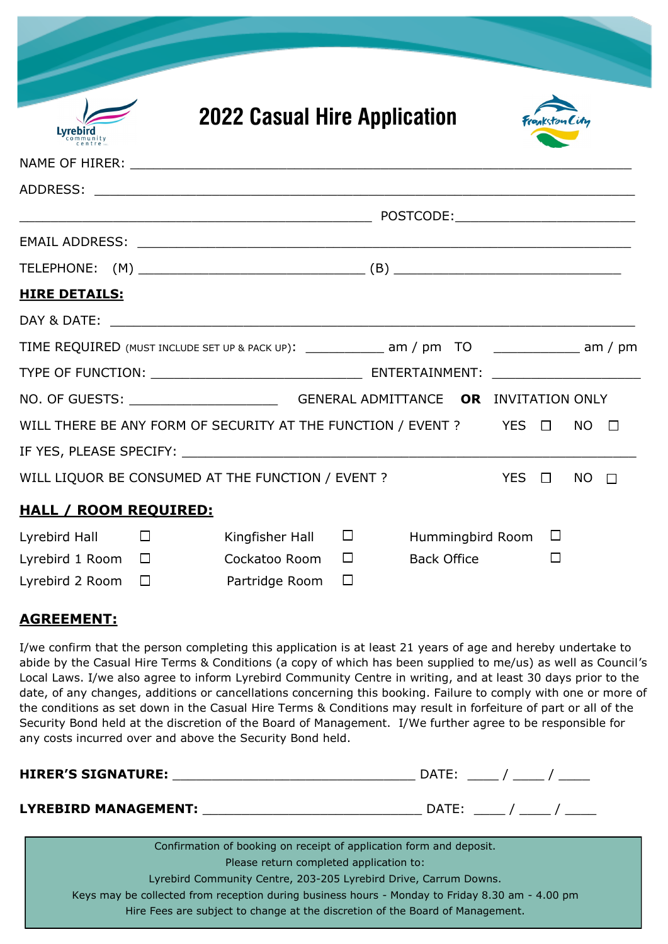|                              |        | <b>2022 Casual Hire Application</b>                                                           |        |                    |            | Frankston City |           |                          |
|------------------------------|--------|-----------------------------------------------------------------------------------------------|--------|--------------------|------------|----------------|-----------|--------------------------|
| Lvrebird<br>ommunity         |        |                                                                                               |        |                    |            |                |           |                          |
|                              |        |                                                                                               |        |                    |            |                |           |                          |
|                              |        |                                                                                               |        |                    |            |                |           |                          |
|                              |        |                                                                                               |        |                    |            |                |           |                          |
|                              |        |                                                                                               |        |                    |            |                |           |                          |
|                              |        |                                                                                               |        |                    |            |                |           |                          |
| <b>HIRE DETAILS:</b>         |        |                                                                                               |        |                    |            |                |           |                          |
|                              |        |                                                                                               |        |                    |            |                |           |                          |
|                              |        | TIME REQUIRED (MUST INCLUDE SET UP & PACK UP): ______________ am / pm TO ____________ am / pm |        |                    |            |                |           |                          |
|                              |        |                                                                                               |        |                    |            |                |           |                          |
|                              |        | NO. OF GUESTS: _________________________________GENERAL ADMITTANCE OR INVITATION ONLY         |        |                    |            |                |           |                          |
|                              |        | WILL THERE BE ANY FORM OF SECURITY AT THE FUNCTION / EVENT ? YES $\Box$                       |        |                    |            |                | <b>NO</b> | $\overline{\phantom{a}}$ |
|                              |        |                                                                                               |        |                    |            |                |           |                          |
|                              |        | WILL LIQUOR BE CONSUMED AT THE FUNCTION / EVENT ?                                             |        |                    | YES $\Box$ |                | NO.       | $\Box$                   |
| <b>HALL / ROOM REQUIRED:</b> |        |                                                                                               |        |                    |            |                |           |                          |
| Lyrebird Hall                | $\Box$ | Kingfisher Hall                                                                               | $\Box$ | Hummingbird Room   |            | $\Box$         |           |                          |
| Lyrebird 1 Room $\Box$       |        | Cockatoo Room                                                                                 | $\Box$ | <b>Back Office</b> |            | $\Box$         |           |                          |
| Lyrebird 2 Room              | $\Box$ | Partridge Room                                                                                | $\Box$ |                    |            |                |           |                          |

## **AGREEMENT:**

I/we confirm that the person completing this application is at least 21 years of age and hereby undertake to abide by the Casual Hire Terms & Conditions (a copy of which has been supplied to me/us) as well as Council's Local Laws. I/we also agree to inform Lyrebird Community Centre in writing, and at least 30 days prior to the date, of any changes, additions or cancellations concerning this booking. Failure to comply with one or more of the conditions as set down in the Casual Hire Terms & Conditions may result in forfeiture of part or all of the Security Bond held at the discretion of the Board of Management. I/We further agree to be responsible for any costs incurred over and above the Security Bond held.

| <b>HIRER'S SIGNATURE:</b>                                                                       | DATE:     |  |  |  |  |  |  |
|-------------------------------------------------------------------------------------------------|-----------|--|--|--|--|--|--|
| LYREBIRD MANAGEMENT: ____________________                                                       | DATE: / / |  |  |  |  |  |  |
| Confirmation of booking on receipt of application form and deposit.                             |           |  |  |  |  |  |  |
| Please return completed application to:                                                         |           |  |  |  |  |  |  |
| Lyrebird Community Centre, 203-205 Lyrebird Drive, Carrum Downs.                                |           |  |  |  |  |  |  |
| Keys may be collected from reception during business hours - Monday to Friday 8.30 am - 4.00 pm |           |  |  |  |  |  |  |

Hire Fees are subject to change at the discretion of the Board of Management.